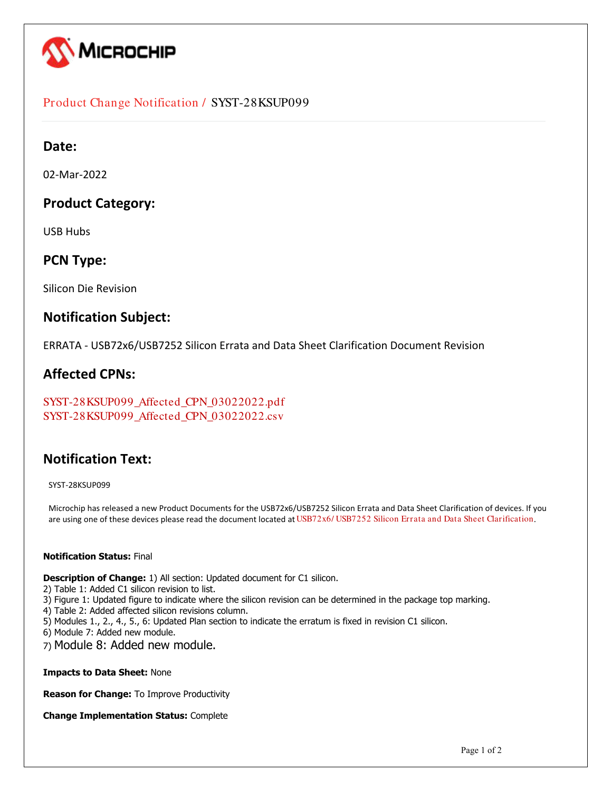

## Product Change Notification / SYST-28KSUP099

## **Date:**

02-Mar-2022

## **Product Category:**

USB Hubs

## **PCN Type:**

Silicon Die Revision

## **Notification Subject:**

ERRATA - USB72x6/USB7252 Silicon Errata and Data Sheet Clarification Document Revision

## **Affected CPNs:**

[SYST-28KSUP099\\_Affected\\_CPN\\_03022022.pdf](https://www.microchip.com/mymicrochipapi/api/pcn/DownloadPcnDocument?pcnId=17513&affectedcpns=pdf) [SYST-28KSUP099\\_Affected\\_CPN\\_03022022.csv](https://www.microchip.com/mymicrochipapi/api/pcn/DownloadPcnDocument?pcnId=17513&affectedcpns=xls)

## **Notification Text:**

SYST-28KSUP099

Microchip has released a new Product Documents for the USB72x6/USB7252 Silicon Errata and Data Sheet Clarification of devices. If you are using one of these devices please read the document located at [USB72x6/ USB7252 Silicon Errata and Data Sheet Clarification](https://www.microchip.com/webdata/api/Document/DownloadDocumentsForFileHandlerByContentId?contentId=en1000302).

### **Notification Status:** Final

**Description of Change:** 1) All section: Updated document for C1 silicon.

- 2) Table 1: Added C1 silicon revision to list.
- 3) Figure 1: Updated figure to indicate where the silicon revision can be determined in the package top marking.
- 4) Table 2: Added affected silicon revisions column.
- 5) Modules 1., 2., 4., 5., 6: Updated Plan section to indicate the erratum is fixed in revision C1 silicon.
- 6) Module 7: Added new module.
- 7) Module 8: Added new module.

**Impacts to Data Sheet:** None

**Reason for Change:** To Improve Productivity

**Change Implementation Status:** Complete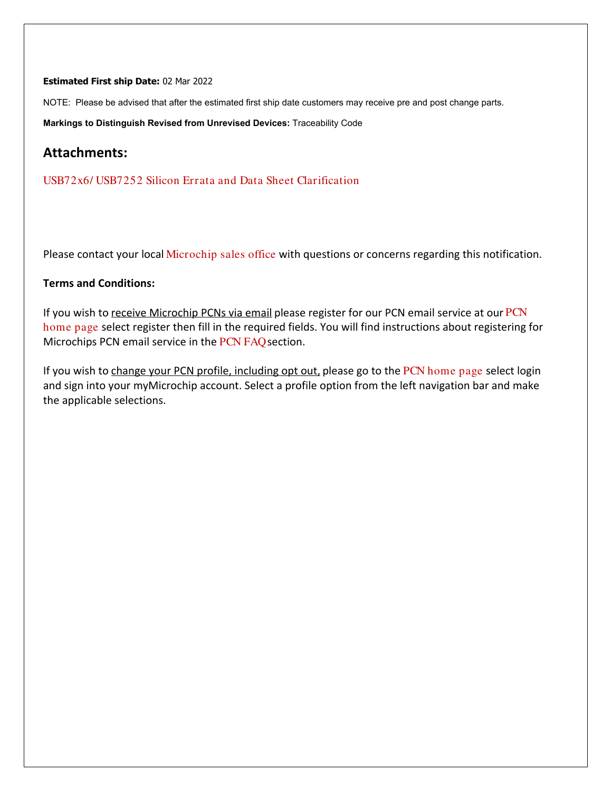### **Estimated First ship Date:** 02 Mar 2022

NOTE: Please be advised that after the estimated first ship date customers may receive pre and post change parts.

**Markings to Distinguish Revised from Unrevised Devices:** Traceability Code

## **Attachments:**

[USB72x6/ USB7252 Silicon Errata and Data Sheet Clarification](https://www.microchip.com/webdata/api/Document/DownloadDocumentsForFileHandlerByContentId?contentId=en1000302)

Please contact your local [Microchip sales office](http://www.microchip.com/distributors/SalesHome.aspx) with questions or concerns regarding this notification.

## **Terms and Conditions:**

If you wish to receive Microchip PCNs via email please register for our [PCN](http://www.microchip.com/pcn) email service at our PCN [home page](http://www.microchip.com/pcn) select register then fill in the required fields. You will find instructions about registering for Microchips PCN email service in the [PCN FAQ](http://www.microchip.com/pcn/faqs) section.

If you wish to change your PCN profile, including opt out, please go to the [PCN home page](http://www.microchip.com/pcn) select login and sign into your myMicrochip account. Select a profile option from the left navigation bar and make the applicable selections.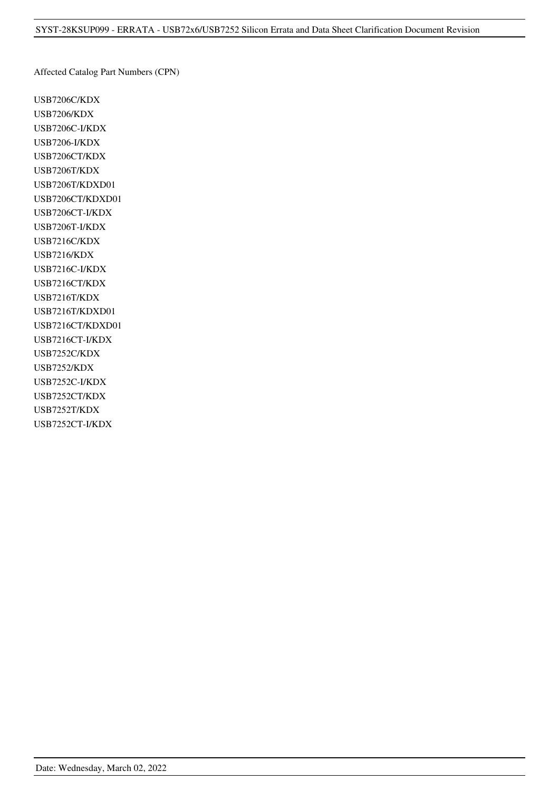Affected Catalog Part Numbers (CPN)

USB7206C/KDX USB7206/KDX USB7206C-I/KDX USB7206-I/KDX USB7206CT/KDX USB7206T/KDX USB7206T/KDXD01 USB7206CT/KDXD01 USB7206CT-I/KDX USB7206T-I/KDX USB7216C/KDX USB7216/KDX USB7216C-I/KDX USB7216CT/KDX USB7216T/KDX USB7216T/KDXD01 USB7216CT/KDXD01 USB7216CT-I/KDX USB7252C/KDX USB7252/KDX USB7252C-I/KDX USB7252CT/KDX USB7252T/KDX USB7252CT-I/KDX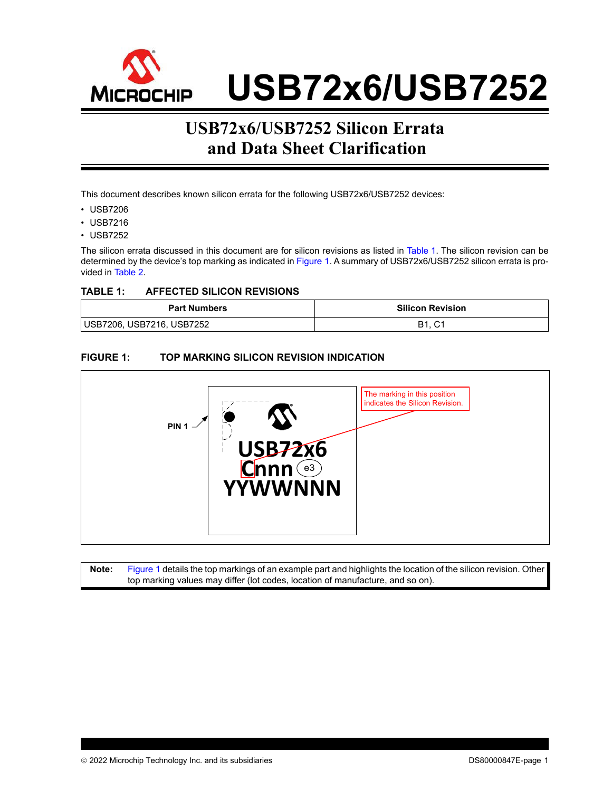

# **USB72x6/USB7252 Silicon Errata and Data Sheet Clarification**

This document describes known silicon errata for the following USB72x6/USB7252 devices:

- USB7206
- USB7216
- USB7252

The silicon errata discussed in this document are for silicon revisions as listed in [Table 1](#page-3-0). The silicon revision can be determined by the device's top marking as indicated in [Figure 1.](#page-3-1) A summary of USB72x6/USB7252 silicon errata is provided in [Table 2](#page-4-0).

### <span id="page-3-0"></span>**TABLE 1: AFFECTED SILICON REVISIONS**

| <b>Part Numbers</b>       | <b>Silicon Revision</b> |
|---------------------------|-------------------------|
| USB7206, USB7216, USB7252 | B1.<br>$\sim$<br>ັບ     |

## <span id="page-3-1"></span>**FIGURE 1: TOP MARKING SILICON REVISION INDICATION**



**Note:** [Figure 1](#page-3-1) details the top markings of an example part and highlights the location of the silicon revision. Other top marking values may differ (lot codes, location of manufacture, and so on).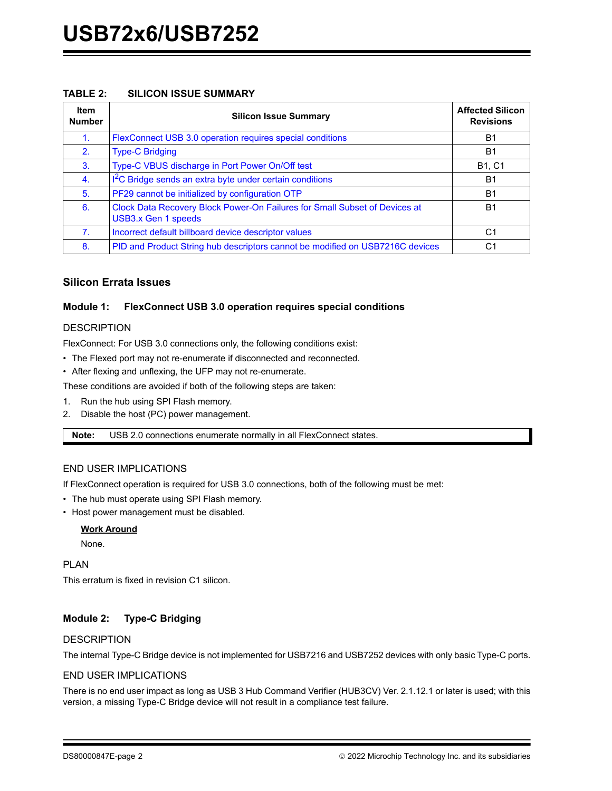### <span id="page-4-0"></span>**TABLE 2: SILICON ISSUE SUMMARY**

| <b>Item</b><br><b>Number</b> | <b>Silicon Issue Summary</b>                                                                      | <b>Affected Silicon</b><br><b>Revisions</b> |
|------------------------------|---------------------------------------------------------------------------------------------------|---------------------------------------------|
| 1 <sub>1</sub>               | FlexConnect USB 3.0 operation requires special conditions                                         | <b>B1</b>                                   |
| 2.                           | <b>Type-C Bridging</b>                                                                            | <b>B1</b>                                   |
| 3.                           | Type-C VBUS discharge in Port Power On/Off test                                                   | <b>B1, C1</b>                               |
| $\mathbf{4}$ .               | I <sup>2</sup> C Bridge sends an extra byte under certain conditions                              | B <sub>1</sub>                              |
| 5.                           | PF29 cannot be initialized by configuration OTP                                                   | <b>B1</b>                                   |
| 6.                           | Clock Data Recovery Block Power-On Failures for Small Subset of Devices at<br>USB3.x Gen 1 speeds | B <sub>1</sub>                              |
| 7 <sub>1</sub>               | Incorrect default billboard device descriptor values                                              | C1                                          |
| 8.                           | PID and Product String hub descriptors cannot be modified on USB7216C devices<br>C <sub>1</sub>   |                                             |

## **Silicon Errata Issues**

### <span id="page-4-1"></span>**Module 1: FlexConnect USB 3.0 operation requires special conditions**

### **DESCRIPTION**

FlexConnect: For USB 3.0 connections only, the following conditions exist:

- The Flexed port may not re-enumerate if disconnected and reconnected.
- After flexing and unflexing, the UFP may not re-enumerate.

These conditions are avoided if both of the following steps are taken:

- 1. Run the hub using SPI Flash memory.
- 2. Disable the host (PC) power management.

**Note:** USB 2.0 connections enumerate normally in all FlexConnect states.

## END USER IMPLICATIONS

If FlexConnect operation is required for USB 3.0 connections, both of the following must be met:

- The hub must operate using SPI Flash memory.
- Host power management must be disabled.

### **Work Around**

None.

PLAN

This erratum is fixed in revision C1 silicon.

## <span id="page-4-2"></span>**Module 2: Type-C Bridging**

### **DESCRIPTION**

The internal Type-C Bridge device is not implemented for USB7216 and USB7252 devices with only basic Type-C ports.

### END USER IMPLICATIONS

There is no end user impact as long as USB 3 Hub Command Verifier (HUB3CV) Ver. 2.1.12.1 or later is used; with this version, a missing Type-C Bridge device will not result in a compliance test failure.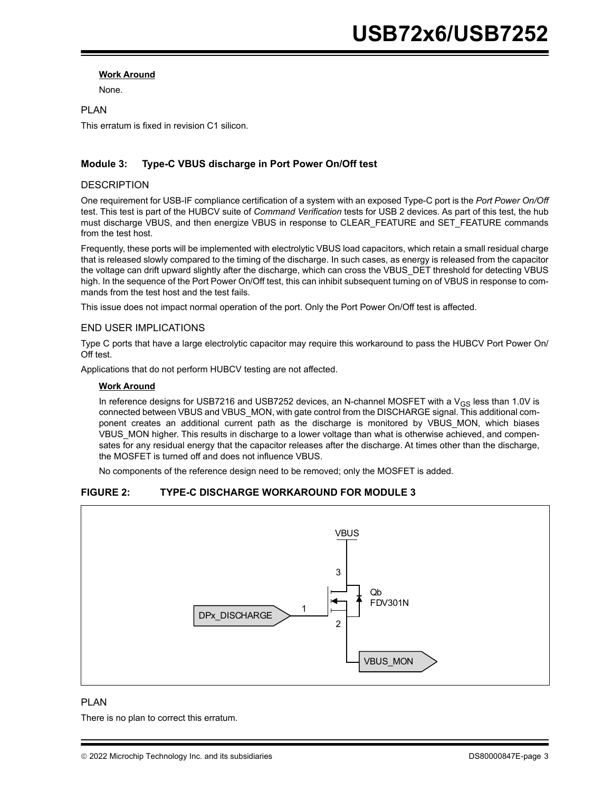#### **Work Around**

None.

## PLAN This erratum is fixed in revision C1 silicon.

### <span id="page-5-0"></span>**Module 3: Type-C VBUS discharge in Port Power On/Off test**

#### **DESCRIPTION**

One requirement for USB-IF compliance certification of a system with an exposed Type-C port is the *Port Power On/Off* test. This test is part of the HUBCV suite of *Command Verification* tests for USB 2 devices. As part of this test, the hub must discharge VBUS, and then energize VBUS in response to CLEAR\_FEATURE and SET\_FEATURE commands from the test host.

Frequently, these ports will be implemented with electrolytic VBUS load capacitors, which retain a small residual charge that is released slowly compared to the timing of the discharge. In such cases, as energy is released from the capacitor the voltage can drift upward slightly after the discharge, which can cross the VBUS\_DET threshold for detecting VBUS high. In the sequence of the Port Power On/Off test, this can inhibit subsequent turning on of VBUS in response to commands from the test host and the test fails.

This issue does not impact normal operation of the port. Only the Port Power On/Off test is affected.

#### END USER IMPLICATIONS

Type C ports that have a large electrolytic capacitor may require this workaround to pass the HUBCV Port Power On/ Off test.

Applications that do not perform HUBCV testing are not affected.

#### **Work Around**

In reference designs for USB7216 and USB7252 devices, an N-channel MOSFET with a  $V_{GS}$  less than 1.0V is connected between VBUS and VBUS\_MON, with gate control from the DISCHARGE signal. This additional component creates an additional current path as the discharge is monitored by VBUS MON, which biases VBUS\_MON higher. This results in discharge to a lower voltage than what is otherwise achieved, and compensates for any residual energy that the capacitor releases after the discharge. At times other than the discharge, the MOSFET is turned off and does not influence VBUS.

No components of the reference design need to be removed; only the MOSFET is added.

## **FIGURE 2: TYPE-C DISCHARGE WORKAROUND FOR MODULE [3](#page-5-0)**



### PLAN

There is no plan to correct this erratum.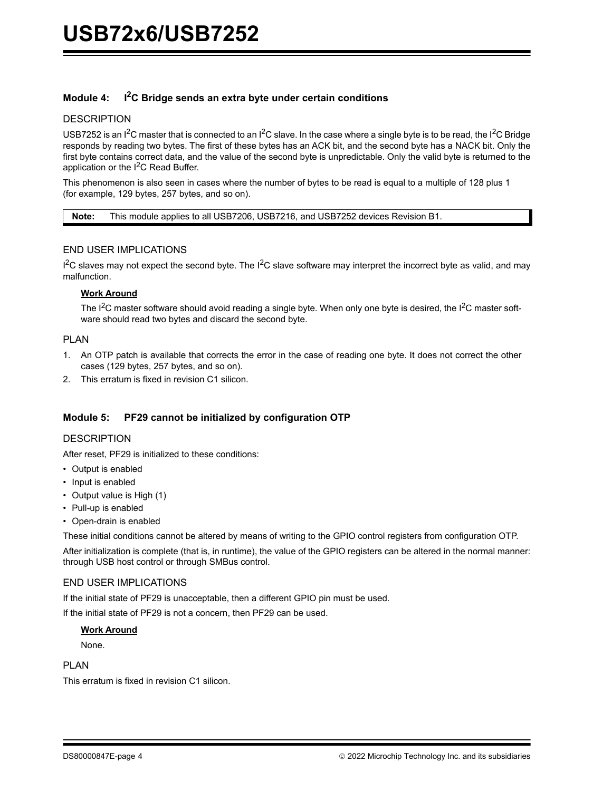## <span id="page-6-0"></span>**Module 4: I2C Bridge sends an extra byte under certain conditions**

#### **DESCRIPTION**

USB7252 is an I<sup>2</sup>C master that is connected to an I<sup>2</sup>C slave. In the case where a single byte is to be read, the I<sup>2</sup>C Bridge responds by reading two bytes. The first of these bytes has an ACK bit, and the second byte has a NACK bit. Only the first byte contains correct data, and the value of the second byte is unpredictable. Only the valid byte is returned to the application or the  $I^2C$  Read Buffer.

This phenomenon is also seen in cases where the number of bytes to be read is equal to a multiple of 128 plus 1 (for example, 129 bytes, 257 bytes, and so on).

**Note:** This module applies to all USB7206, USB7216, and USB7252 devices Revision B1.

### END USER IMPLICATIONS

I<sup>2</sup>C slaves may not expect the second byte. The I<sup>2</sup>C slave software may interpret the incorrect byte as valid, and may malfunction.

#### **Work Around**

The  $I^2C$  master software should avoid reading a single byte. When only one byte is desired, the  $I^2C$  master software should read two bytes and discard the second byte.

#### PLAN

- 1. An OTP patch is available that corrects the error in the case of reading one byte. It does not correct the other cases (129 bytes, 257 bytes, and so on).
- 2. This erratum is fixed in revision C1 silicon.

### <span id="page-6-1"></span>**Module 5: PF29 cannot be initialized by configuration OTP**

#### **DESCRIPTION**

After reset, PF29 is initialized to these conditions:

- Output is enabled
- Input is enabled
- Output value is High (1)
- Pull-up is enabled
- Open-drain is enabled

These initial conditions cannot be altered by means of writing to the GPIO control registers from configuration OTP.

After initialization is complete (that is, in runtime), the value of the GPIO registers can be altered in the normal manner: through USB host control or through SMBus control.

#### END USER IMPLICATIONS

If the initial state of PF29 is unacceptable, then a different GPIO pin must be used.

If the initial state of PF29 is not a concern, then PF29 can be used.

#### **Work Around**

None.

#### PLAN

This erratum is fixed in revision C1 silicon.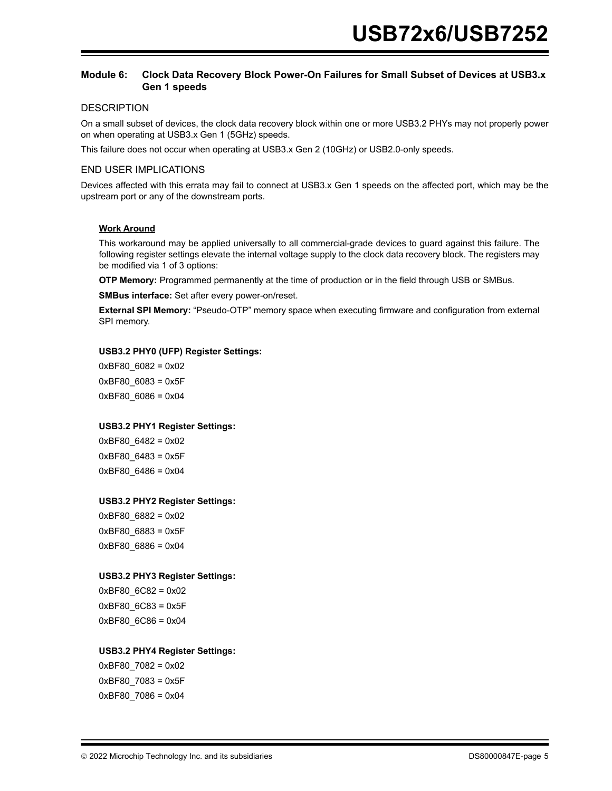### <span id="page-7-0"></span>**Module 6: Clock Data Recovery Block Power-On Failures for Small Subset of Devices at USB3.x Gen 1 speeds**

#### **DESCRIPTION**

On a small subset of devices, the clock data recovery block within one or more USB3.2 PHYs may not properly power on when operating at USB3.x Gen 1 (5GHz) speeds.

This failure does not occur when operating at USB3.x Gen 2 (10GHz) or USB2.0-only speeds.

#### END USER IMPLICATIONS

Devices affected with this errata may fail to connect at USB3.x Gen 1 speeds on the affected port, which may be the upstream port or any of the downstream ports.

#### **Work Around**

This workaround may be applied universally to all commercial-grade devices to guard against this failure. The following register settings elevate the internal voltage supply to the clock data recovery block. The registers may be modified via 1 of 3 options:

**OTP Memory:** Programmed permanently at the time of production or in the field through USB or SMBus.

**SMBus interface:** Set after every power-on/reset.

**External SPI Memory:** "Pseudo-OTP" memory space when executing firmware and configuration from external SPI memory.

#### **USB3.2 PHY0 (UFP) Register Settings:**

0xBF80\_6082 = 0x02 0xBF80\_6083 = 0x5F 0xBF80\_6086 = 0x04

#### **USB3.2 PHY1 Register Settings:**

0xBF80\_6482 = 0x02 0xBF80\_6483 = 0x5F 0xBF80\_6486 = 0x04

#### **USB3.2 PHY2 Register Settings:**

0xBF80\_6882 = 0x02 0xBF80\_6883 = 0x5F 0xBF80\_6886 = 0x04

#### **USB3.2 PHY3 Register Settings:**

0xBF80\_6C82 = 0x02 0xBF80\_6C83 = 0x5F 0xBF80\_6C86 = 0x04

#### **USB3.2 PHY4 Register Settings:**

0xBF80\_7082 = 0x02 0xBF80\_7083 = 0x5F 0xBF80\_7086 = 0x04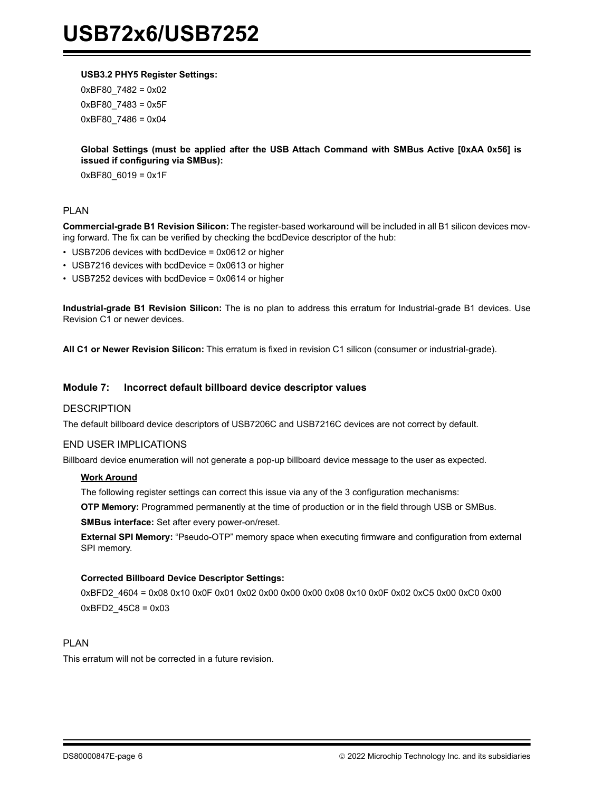#### **USB3.2 PHY5 Register Settings:**

0xBF80\_7482 = 0x02 0xBF80\_7483 = 0x5F 0xBF80\_7486 = 0x04

### **Global Settings (must be applied after the USB Attach Command with SMBus Active [0xAA 0x56] is issued if configuring via SMBus):**

0xBF80\_6019 = 0x1F

### PLAN

**Commercial-grade B1 Revision Silicon:** The register-based workaround will be included in all B1 silicon devices moving forward. The fix can be verified by checking the bcdDevice descriptor of the hub:

- USB7206 devices with bcdDevice = 0x0612 or higher
- USB7216 devices with bcdDevice = 0x0613 or higher
- USB7252 devices with bcdDevice = 0x0614 or higher

**Industrial-grade B1 Revision Silicon:** The is no plan to address this erratum for Industrial-grade B1 devices. Use Revision C1 or newer devices.

**All C1 or Newer Revision Silicon:** This erratum is fixed in revision C1 silicon (consumer or industrial-grade).

#### <span id="page-8-0"></span>**Module 7: Incorrect default billboard device descriptor values**

#### **DESCRIPTION**

The default billboard device descriptors of USB7206C and USB7216C devices are not correct by default.

#### END USER IMPLICATIONS

Billboard device enumeration will not generate a pop-up billboard device message to the user as expected.

#### **Work Around**

The following register settings can correct this issue via any of the 3 configuration mechanisms:

**OTP Memory:** Programmed permanently at the time of production or in the field through USB or SMBus.

**SMBus interface:** Set after every power-on/reset.

**External SPI Memory:** "Pseudo-OTP" memory space when executing firmware and configuration from external SPI memory.

#### **Corrected Billboard Device Descriptor Settings:**

0xBFD2\_4604 = 0x08 0x10 0x0F 0x01 0x02 0x00 0x00 0x00 0x08 0x10 0x0F 0x02 0xC5 0x00 0xC0 0x00 0xBFD2\_45C8 = 0x03

### PLAN

This erratum will not be corrected in a future revision.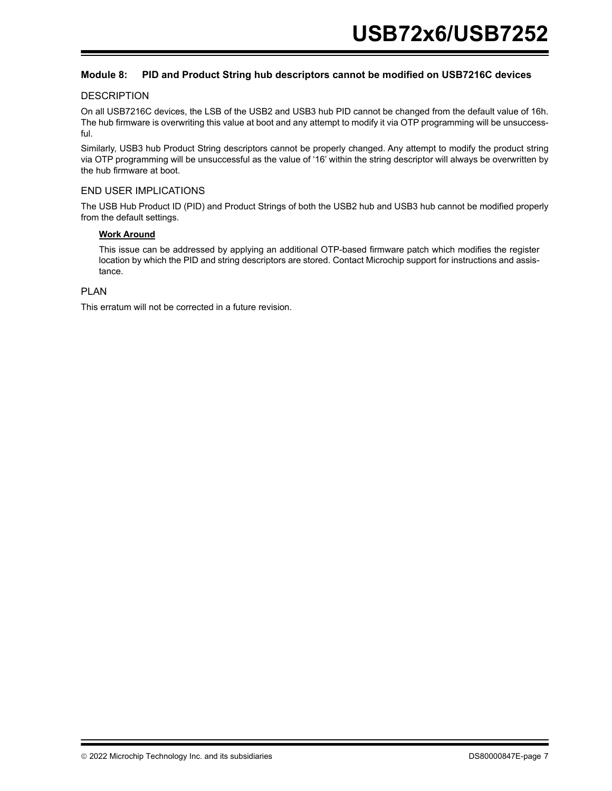### <span id="page-9-0"></span>**Module 8: PID and Product String hub descriptors cannot be modified on USB7216C devices**

#### **DESCRIPTION**

On all USB7216C devices, the LSB of the USB2 and USB3 hub PID cannot be changed from the default value of 16h. The hub firmware is overwriting this value at boot and any attempt to modify it via OTP programming will be unsuccessful.

Similarly, USB3 hub Product String descriptors cannot be properly changed. Any attempt to modify the product string via OTP programming will be unsuccessful as the value of '16' within the string descriptor will always be overwritten by the hub firmware at boot.

### END USER IMPLICATIONS

The USB Hub Product ID (PID) and Product Strings of both the USB2 hub and USB3 hub cannot be modified properly from the default settings.

#### **Work Around**

This issue can be addressed by applying an additional OTP-based firmware patch which modifies the register location by which the PID and string descriptors are stored. Contact Microchip support for instructions and assistance.

## PLAN

This erratum will not be corrected in a future revision.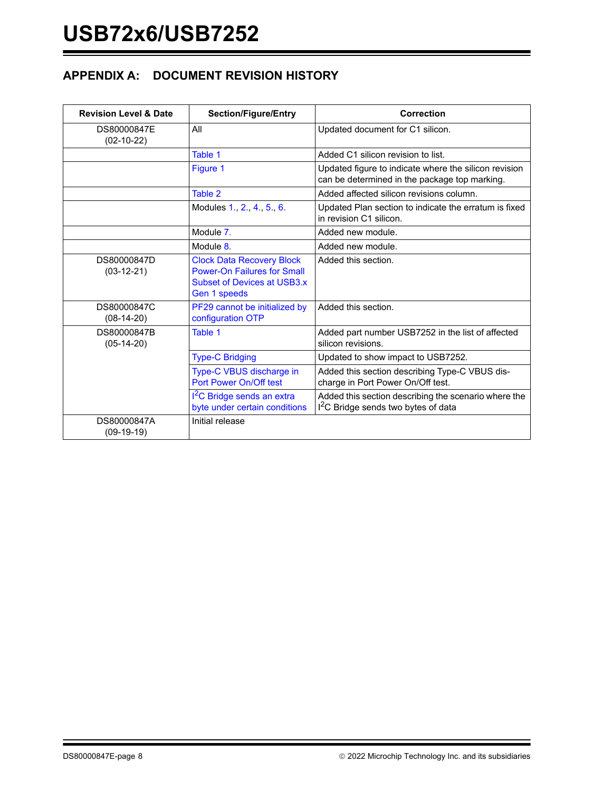## **APPENDIX A: DOCUMENT REVISION HISTORY**

| <b>Revision Level &amp; Date</b> | <b>Section/Figure/Entry</b>                                                                                                  | Correction                                                                                              |
|----------------------------------|------------------------------------------------------------------------------------------------------------------------------|---------------------------------------------------------------------------------------------------------|
| DS80000847E<br>$(02-10-22)$      | All                                                                                                                          | Updated document for C1 silicon.                                                                        |
|                                  | Table 1                                                                                                                      | Added C1 silicon revision to list.                                                                      |
|                                  | Figure 1                                                                                                                     | Updated figure to indicate where the silicon revision<br>can be determined in the package top marking.  |
|                                  | Table 2                                                                                                                      | Added affected silicon revisions column.                                                                |
|                                  | Modules 1., 2., 4., 5., 6.                                                                                                   | Updated Plan section to indicate the erratum is fixed<br>in revision C1 silicon.                        |
|                                  | Module 7.                                                                                                                    | Added new module.                                                                                       |
|                                  | Module 8.                                                                                                                    | Added new module.                                                                                       |
| DS80000847D<br>$(03-12-21)$      | <b>Clock Data Recovery Block</b><br><b>Power-On Failures for Small</b><br><b>Subset of Devices at USB3.x</b><br>Gen 1 speeds | Added this section.                                                                                     |
| DS80000847C<br>$(08-14-20)$      | PF29 cannot be initialized by<br>configuration OTP                                                                           | Added this section.                                                                                     |
| DS80000847B<br>$(05-14-20)$      | Table 1                                                                                                                      | Added part number USB7252 in the list of affected<br>silicon revisions.                                 |
|                                  | <b>Type-C Bridging</b>                                                                                                       | Updated to show impact to USB7252.                                                                      |
|                                  | Type-C VBUS discharge in<br>Port Power On/Off test                                                                           | Added this section describing Type-C VBUS dis-<br>charge in Port Power On/Off test.                     |
|                                  | I <sup>2</sup> C Bridge sends an extra<br>byte under certain conditions                                                      | Added this section describing the scenario where the<br>I <sup>2</sup> C Bridge sends two bytes of data |
| DS80000847A<br>$(09-19-19)$      | Initial release                                                                                                              |                                                                                                         |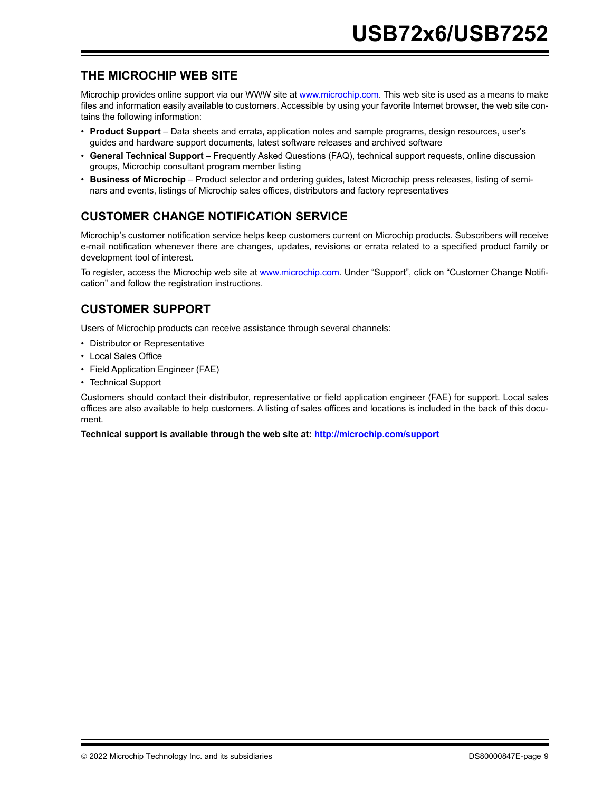## **THE MICROCHIP WEB SITE**

[Microchip provides online support via our WWW site at w](http://www.microchip.com)ww.microchip.com. This web site is used as a means to make files and information easily available to customers. Accessible by using your favorite Internet browser, the web site contains the following information:

- **Product Support** Data sheets and errata, application notes and sample programs, design resources, user's guides and hardware support documents, latest software releases and archived software
- **General Technical Support** Frequently Asked Questions (FAQ), technical support requests, online discussion groups, Microchip consultant program member listing
- **Business of Microchip** Product selector and ordering guides, latest Microchip press releases, listing of seminars and events, listings of Microchip sales offices, distributors and factory representatives

## **CUSTOMER CHANGE NOTIFICATION SERVICE**

Microchip's customer notification service helps keep customers current on Microchip products. Subscribers will receive e-mail notification whenever there are changes, updates, revisions or errata related to a specified product family or development tool of interest.

[To register, access the Microchip web site at](http://www.microchip.com) www.microchip.com. Under "Support", click on "Customer Change Notification" and follow the registration instructions.

## **CUSTOMER SUPPORT**

Users of Microchip products can receive assistance through several channels:

- Distributor or Representative
- Local Sales Office
- Field Application Engineer (FAE)
- Technical Support

Customers should contact their distributor, representative or field application engineer (FAE) for support. Local sales offices are also available to help customers. A listing of sales offices and locations is included in the back of this document.

**[Technical support is available through the web site at: h](http://www.microchip.com)ttp://microchip.com/support**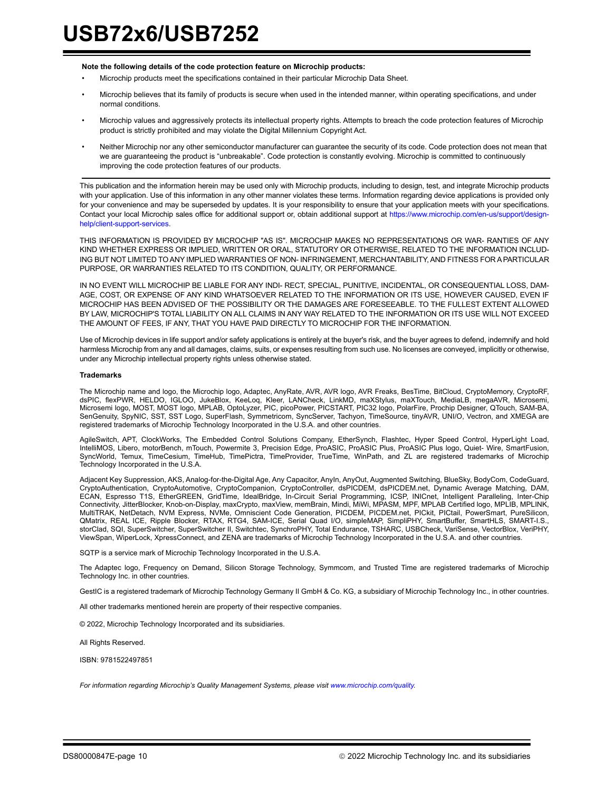#### **Note the following details of the code protection feature on Microchip products:**

- Microchip products meet the specifications contained in their particular Microchip Data Sheet.
- Microchip believes that its family of products is secure when used in the intended manner, within operating specifications, and under normal conditions.
- Microchip values and aggressively protects its intellectual property rights. Attempts to breach the code protection features of Microchip product is strictly prohibited and may violate the Digital Millennium Copyright Act.
- Neither Microchip nor any other semiconductor manufacturer can guarantee the security of its code. Code protection does not mean that we are guaranteeing the product is "unbreakable". Code protection is constantly evolving. Microchip is committed to continuously improving the code protection features of our products.

This publication and the information herein may be used only with Microchip products, including to design, test, and integrate Microchip products with your application. Use of this information in any other manner violates these terms. Information regarding device applications is provided only for your convenience and may be superseded by updates. It is your responsibility to ensure that your application meets with your specifications. Contact your local Microchip sales office for additional support or, obtain additional support at [https://www.microchip.com/en-us/support/design](https://www.microchip.com/en-us/support/design-help/client-support-services)[help/client-support-services.](https://www.microchip.com/en-us/support/design-help/client-support-services)

THIS INFORMATION IS PROVIDED BY MICROCHIP "AS IS". MICROCHIP MAKES NO REPRESENTATIONS OR WAR- RANTIES OF ANY KIND WHETHER EXPRESS OR IMPLIED, WRITTEN OR ORAL, STATUTORY OR OTHERWISE, RELATED TO THE INFORMATION INCLUD-ING BUT NOT LIMITED TO ANY IMPLIED WARRANTIES OF NON- INFRINGEMENT, MERCHANTABILITY, AND FITNESS FOR A PARTICULAR PURPOSE, OR WARRANTIES RELATED TO ITS CONDITION, QUALITY, OR PERFORMANCE.

IN NO EVENT WILL MICROCHIP BE LIABLE FOR ANY INDI- RECT, SPECIAL, PUNITIVE, INCIDENTAL, OR CONSEQUENTIAL LOSS, DAM-AGE, COST, OR EXPENSE OF ANY KIND WHATSOEVER RELATED TO THE INFORMATION OR ITS USE, HOWEVER CAUSED, EVEN IF MICROCHIP HAS BEEN ADVISED OF THE POSSIBILITY OR THE DAMAGES ARE FORESEEABLE. TO THE FULLEST EXTENT ALLOWED BY LAW, MICROCHIP'S TOTAL LIABILITY ON ALL CLAIMS IN ANY WAY RELATED TO THE INFORMATION OR ITS USE WILL NOT EXCEED THE AMOUNT OF FEES, IF ANY, THAT YOU HAVE PAID DIRECTLY TO MICROCHIP FOR THE INFORMATION.

Use of Microchip devices in life support and/or safety applications is entirely at the buyer's risk, and the buyer agrees to defend, indemnify and hold harmless Microchip from any and all damages, claims, suits, or expenses resulting from such use. No licenses are conveyed, implicitly or otherwise, under any Microchip intellectual property rights unless otherwise stated.

#### **Trademarks**

The Microchip name and logo, the Microchip logo, Adaptec, AnyRate, AVR, AVR logo, AVR Freaks, BesTime, BitCloud, CryptoMemory, CryptoRF, dsPIC, flexPWR, HELDO, IGLOO, JukeBlox, KeeLoq, Kleer, LANCheck, LinkMD, maXStylus, maXTouch, MediaLB, megaAVR, Microsemi, Microsemi logo, MOST, MOST logo, MPLAB, OptoLyzer, PIC, picoPower, PICSTART, PIC32 logo, PolarFire, Prochip Designer, QTouch, SAM-BA, SenGenuity, SpyNIC, SST, SST Logo, SuperFlash, Symmetricom, SyncServer, Tachyon, TimeSource, tinyAVR, UNI/O, Vectron, and XMEGA are registered trademarks of Microchip Technology Incorporated in the U.S.A. and other countries.

AgileSwitch, APT, ClockWorks, The Embedded Control Solutions Company, EtherSynch, Flashtec, Hyper Speed Control, HyperLight Load, IntelliMOS, Libero, motorBench, mTouch, Powermite 3, Precision Edge, ProASIC, ProASIC Plus, ProASIC Plus logo, Quiet- Wire, SmartFusion, SyncWorld, Temux, TimeCesium, TimeHub, TimePictra, TimeProvider, TrueTime, WinPath, and ZL are registered trademarks of Microchip Technology Incorporated in the U.S.A.

Adjacent Key Suppression, AKS, Analog-for-the-Digital Age, Any Capacitor, AnyIn, AnyOut, Augmented Switching, BlueSky, BodyCom, CodeGuard, CryptoAuthentication, CryptoAutomotive, CryptoCompanion, CryptoController, dsPICDEM, dsPICDEM.net, Dynamic Average Matching, DAM, ECAN, Espresso T1S, EtherGREEN, GridTime, IdealBridge, In-Circuit Serial Programming, ICSP, INICnet, Intelligent Paralleling, Inter-Chip Connectivity, JitterBlocker, Knob-on-Display, maxCrypto, maxView, memBrain, Mindi, MiWi, MPASM, MPF, MPLAB Certified logo, MPLIB, MPLINK, MultiTRAK, NetDetach, NVM Express, NVMe, Omniscient Code Generation, PICDEM, PICDEM.net, PICkit, PICtail, PowerSmart, PureSilicon, QMatrix, REAL ICE, Ripple Blocker, RTAX, RTG4, SAM-ICE, Serial Quad I/O, simpleMAP, SimpliPHY, SmartBuffer, SmartHLS, SMART-I.S., storClad, SQI, SuperSwitcher, SuperSwitcher II, Switchtec, SynchroPHY, Total Endurance, TSHARC, USBCheck, VariSense, VectorBlox, VeriPHY, ViewSpan, WiperLock, XpressConnect, and ZENA are trademarks of Microchip Technology Incorporated in the U.S.A. and other countries.

SQTP is a service mark of Microchip Technology Incorporated in the U.S.A.

The Adaptec logo, Frequency on Demand, Silicon Storage Technology, Symmcom, and Trusted Time are registered trademarks of Microchip Technology Inc. in other countries.

GestIC is a registered trademark of Microchip Technology Germany II GmbH & Co. KG, a subsidiary of Microchip Technology Inc., in other countries.

All other trademarks mentioned herein are property of their respective companies.

© 2022, Microchip Technology Incorporated and its subsidiaries.

All Rights Reserved.

ISBN: 9781522497851

*For information regarding Microchip's Quality Management Systems, please visit www.microchip.com/quality.*